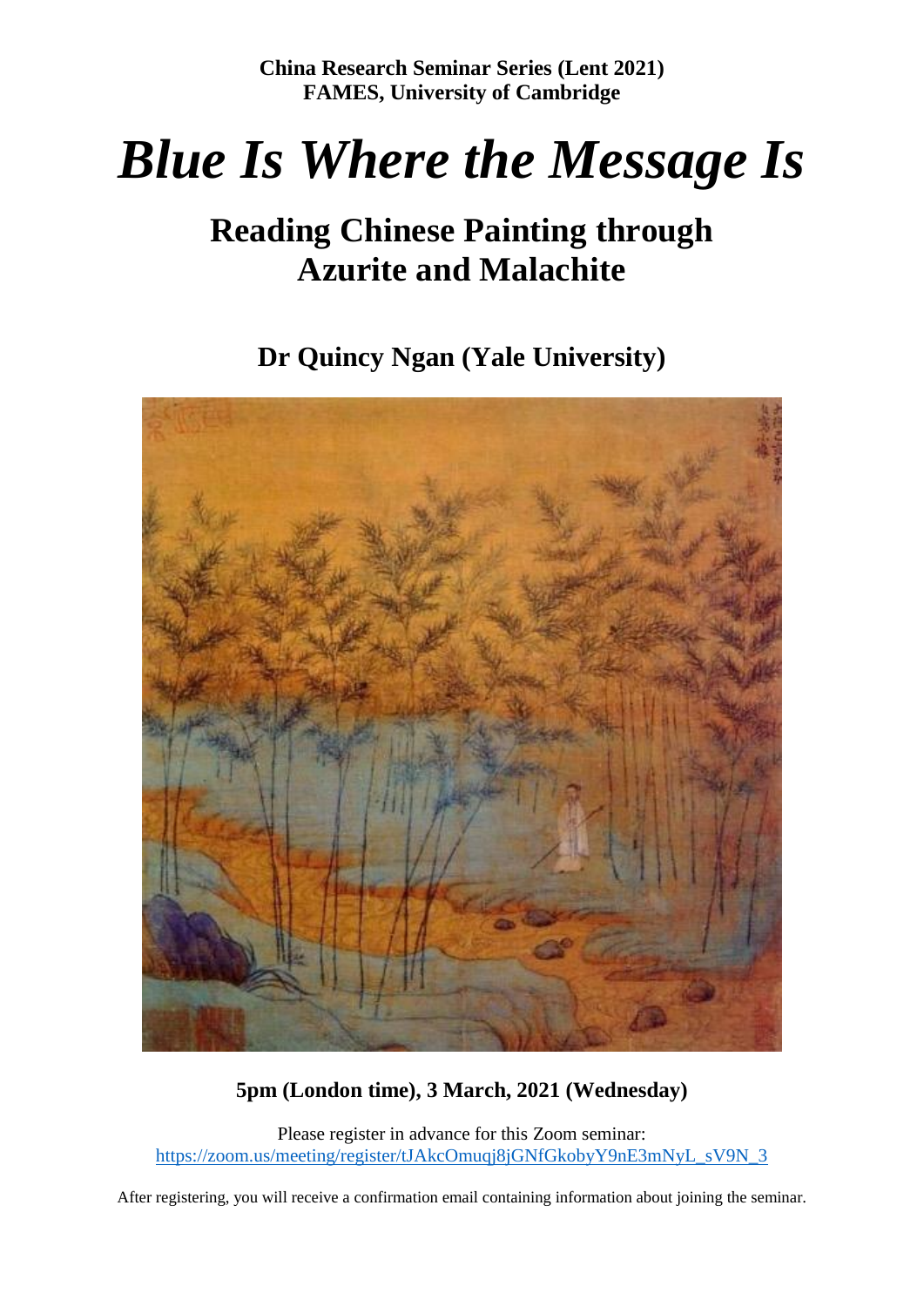# *Blue Is Where the Message Is*

# **Reading Chinese Painting through Azurite and Malachite**

**Dr Quincy Ngan (Yale University)**



## **5pm (London time), 3 March, 2021 (Wednesday)**

Please register in advance for this Zoom seminar: [https://zoom.us/meeting/register/tJAkcOmuqj8jGNfGkobyY9nE3mNyL\\_sV9N\\_3](https://zoom.us/meeting/register/tJAkcOmuqj8jGNfGkobyY9nE3mNyL_sV9N_3)

After registering, you will receive a confirmation email containing information about joining the seminar.